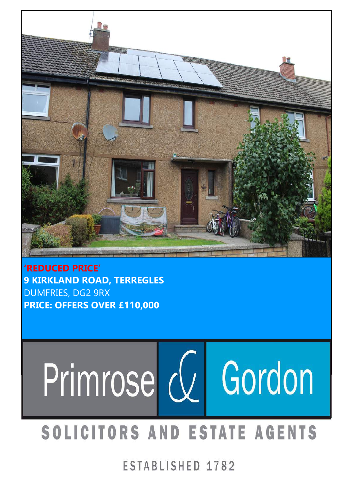

**'REDUCED PRICE' 9 KIRKLAND ROAD, TERREGLES** DUMFRIES, DG2 9RX **PRICE: OFFERS OVER £110,000**

555 555 5555

#### Name Name Name Name I 555 555 5555 55 555 555 5555 555 555 5555 555 555 555 555 5555 5<br>5<br>5 555 555 5555 555 555 5555

# SOLICITORS AND ESTATE AGENTS

ESTABLISHED 1782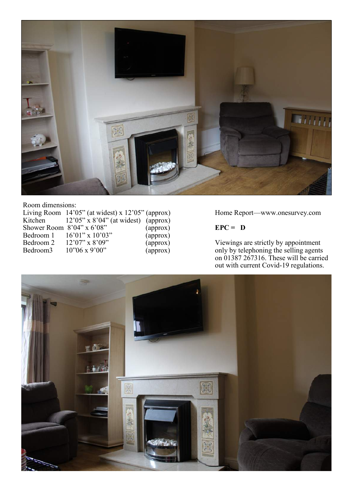

#### Room dimensions:

|           | Living Room $14'05''$ (at widest) x $12'05''$ (approx) |          | Home Report—www.onesurvey.com          |
|-----------|--------------------------------------------------------|----------|----------------------------------------|
| Kitchen   | $12'05''$ x 8'04" (at widest) (approx)                 |          |                                        |
|           | Shower Room $8'04''$ x $6'08''$                        | (approx) | $EPC = D$                              |
|           | Bedroom 1 $16'01''$ x $10'03''$                        | (approx) |                                        |
| Bedroom 2 | $12'07''$ x 8'09"                                      | (approx) | Viewings are strictly by appointment   |
| Bedroom3  | $10^{9}06 \times 9^{9}00$                              | (approx) | only by telephoning the selling agents |

Home Report—www.onesurvey.com

### $EPC = D$

on 01387 267316. These will be carried out with current Covid-19 regulations.

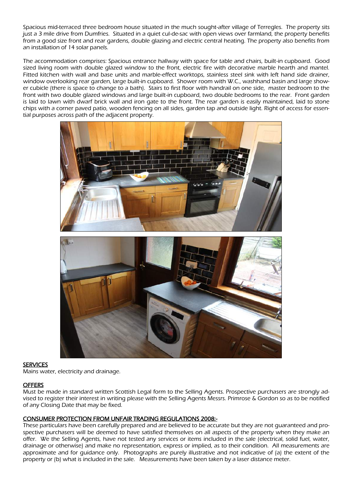Spacious mid-terraced three bedroom house situated in the much sought-after village of Terregles. The property sits just a 3 mile drive from Dumfries. Situated in a quiet cul-de-sac with open views over farmland, the property benefits from a good size front and rear gardens, double glazing and electric central heating. The property also benefits from an installation of 14 solar panels.

The accommodation comprises: Spacious entrance hallway with space for table and chairs, built-in cupboard. Good sized living room with double glazed window to the front, electric fire with decorative marble hearth and mantel. Fitted kitchen with wall and base units and marble-effect worktops, stainless steel sink with left hand side drainer, window overlooking rear garden, large built-in cupboard. Shower room with W.C., washhand basin and large shower cubicle (there is space to change to a bath). Stairs to first floor with handrail on one side, master bedroom to the front with two double glazed windows and large built-in cupboard, two double bedrooms to the rear. Front garden is laid to lawn with dwarf brick wall and iron gate to the front. The rear garden is easily maintained, laid to stone chips with a corner paved patio, wooden fencing on all sides, garden tap and outside light. Right of access for essential purposes across path of the adjacent property.



#### **SERVICES**

Mains water, electricity and drainage.

#### **OFFERS**

Must be made in standard written Scottish Legal form to the Selling Agents. Prospective purchasers are strongly advised to register their interest in writing please with the Selling Agents Messrs. Primrose & Gordon so as to be notified of any Closing Date that may be fixed.

#### CONSUMER PROTECTION FROM UNFAIR TRADING REGULATIONS 2008:-

These particulars have been carefully prepared and are believed to be accurate but they are not guaranteed and prospective purchasers will be deemed to have satisfied themselves on all aspects of the property when they make an offer. We the Selling Agents, have not tested any services or items included in the sale (electrical, solid fuel, water, drainage or otherwise) and make no representation, express or implied, as to their condition. All measurements are approximate and for guidance only. Photographs are purely illustrative and not indicative of (a) the extent of the property or (b) what is included in the sale. Measurements have been taken by a laser distance meter.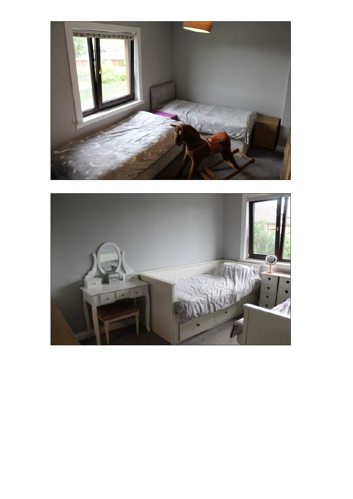

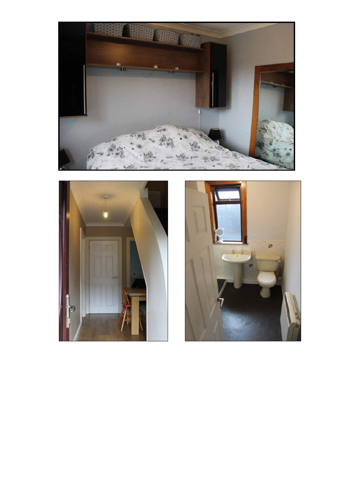



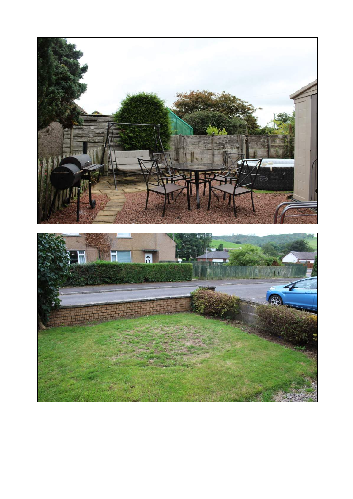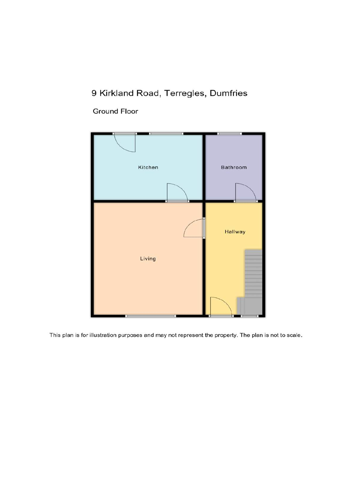## 9 Kirkland Road, Terregles, Dumfries

## **Ground Floor**



This plan is for illustration purposes and may not represent the property. The plan is not to scale.